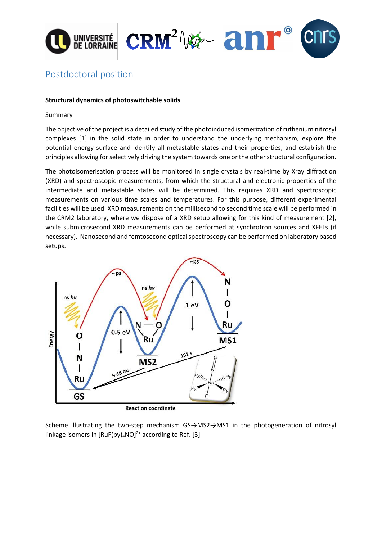



# Postdoctoral position

## **Structural dynamics of photoswitchable solids**

### Summary

The objective of the project is a detailed study of the photoinduced isomerization of ruthenium nitrosyl complexes [1] in the solid state in order to understand the underlying mechanism, explore the potential energy surface and identify all metastable states and their properties, and establish the principles allowing for selectively driving the system towards one or the other structural configuration.

The photoisomerisation process will be monitored in single crystals by real-time by Xray diffraction (XRD) and spectroscopic measurements, from which the structural and electronic properties of the intermediate and metastable states will be determined. This requires XRD and spectroscopic measurements on various time scales and temperatures. For this purpose, different experimental facilities will be used: XRD measurements on the millisecond to second time scale will be performed in the CRM2 laboratory, where we dispose of a XRD setup allowing for this kind of measurement [2], while submicrosecond XRD measurements can be performed at synchrotron sources and XFELs (if necessary). Nanosecond and femtosecond optical spectroscopy can be performed on laboratory based setups.



**Reaction coordinate** 

Scheme illustrating the two-step mechanism GS→MS2→MS1 in the photogeneration of nitrosyl linkage isomers in  $[RuF(py)<sub>4</sub>NO]<sup>2+</sup>$  according to Ref. [3]